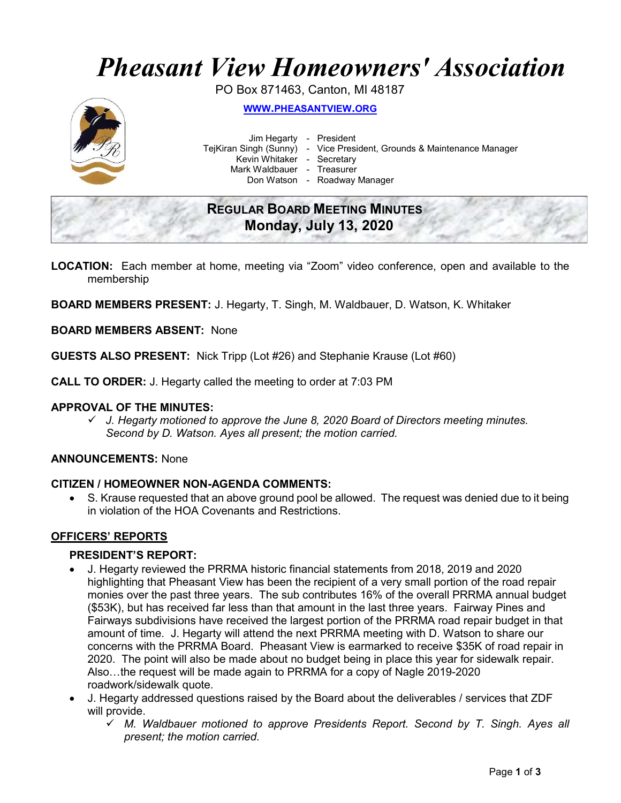# Pheasant View Homeowners' Association

PO Box 871463, Canton, MI 48187



WWW.PHEASANTVIEW.ORG

Jim Hegarty - President

TejKiran Singh (Sunny) - Vice President, Grounds & Maintenance Manager

Kevin Whitaker - Secretary

Mark Waldbauer - Treasurer

Don Watson - Roadway Manager

# REGULAR BOARD MEETING MINUTES Monday, July 13, 2020

- LOCATION: Each member at home, meeting via "Zoom" video conference, open and available to the membership
- BOARD MEMBERS PRESENT: J. Hegarty, T. Singh, M. Waldbauer, D. Watson, K. Whitaker

#### BOARD MEMBERS ABSENT: None

GUESTS ALSO PRESENT: Nick Tripp (Lot #26) and Stephanie Krause (Lot #60)

CALL TO ORDER: J. Hegarty called the meeting to order at 7:03 PM

#### APPROVAL OF THE MINUTES:

 $\checkmark$  J. Hegarty motioned to approve the June 8, 2020 Board of Directors meeting minutes. Second by D. Watson. Ayes all present; the motion carried.

#### ANNOUNCEMENTS: None

#### CITIZEN / HOMEOWNER NON-AGENDA COMMENTS:

 S. Krause requested that an above ground pool be allowed. The request was denied due to it being in violation of the HOA Covenants and Restrictions.

# OFFICERS' REPORTS

#### PRESIDENT'S REPORT:

- J. Hegarty reviewed the PRRMA historic financial statements from 2018, 2019 and 2020 highlighting that Pheasant View has been the recipient of a very small portion of the road repair monies over the past three years. The sub contributes 16% of the overall PRRMA annual budget (\$53K), but has received far less than that amount in the last three years. Fairway Pines and Fairways subdivisions have received the largest portion of the PRRMA road repair budget in that amount of time. J. Hegarty will attend the next PRRMA meeting with D. Watson to share our concerns with the PRRMA Board. Pheasant View is earmarked to receive \$35K of road repair in 2020. The point will also be made about no budget being in place this year for sidewalk repair. Also…the request will be made again to PRRMA for a copy of Nagle 2019-2020 roadwork/sidewalk quote.
- J. Hegarty addressed questions raised by the Board about the deliverables / services that ZDF will provide.
	- $\checkmark$  M. Waldbauer motioned to approve Presidents Report. Second by T. Singh. Ayes all present; the motion carried.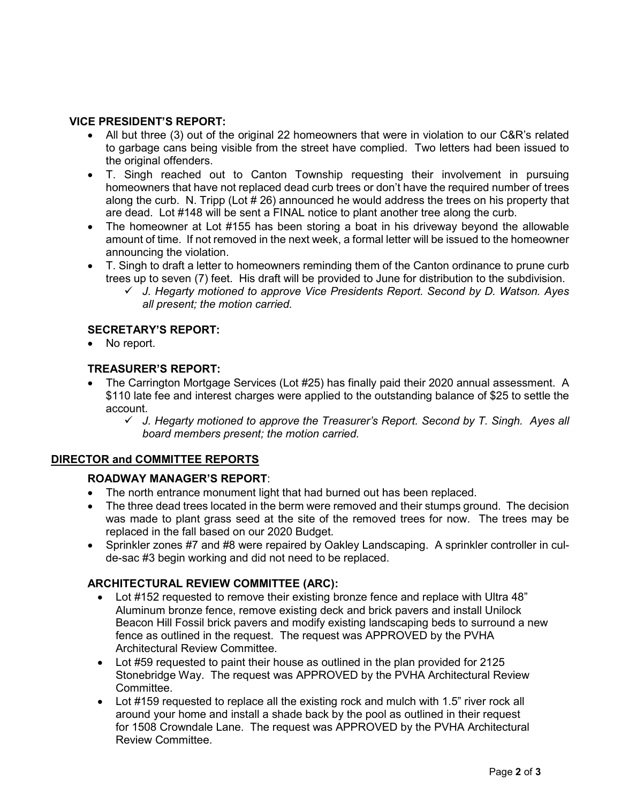### VICE PRESIDENT'S REPORT:

- All but three (3) out of the original 22 homeowners that were in violation to our C&R's related to garbage cans being visible from the street have complied. Two letters had been issued to the original offenders.
- T. Singh reached out to Canton Township requesting their involvement in pursuing homeowners that have not replaced dead curb trees or don't have the required number of trees along the curb. N. Tripp (Lot # 26) announced he would address the trees on his property that are dead. Lot #148 will be sent a FINAL notice to plant another tree along the curb.
- The homeowner at Lot #155 has been storing a boat in his driveway beyond the allowable amount of time. If not removed in the next week, a formal letter will be issued to the homeowner announcing the violation.
- T. Singh to draft a letter to homeowners reminding them of the Canton ordinance to prune curb trees up to seven (7) feet. His draft will be provided to June for distribution to the subdivision.
	- $\checkmark$  J. Hegarty motioned to approve Vice Presidents Report. Second by D. Watson. Ayes all present; the motion carried.

#### SECRETARY'S REPORT:

No report.

#### TREASURER'S REPORT:

- The Carrington Mortgage Services (Lot #25) has finally paid their 2020 annual assessment. A \$110 late fee and interest charges were applied to the outstanding balance of \$25 to settle the account.
	- $\checkmark$  J. Hegarty motioned to approve the Treasurer's Report. Second by T. Singh. Ayes all board members present; the motion carried.

# DIRECTOR and COMMITTEE REPORTS

#### ROADWAY MANAGER'S REPORT:

- The north entrance monument light that had burned out has been replaced.
- The three dead trees located in the berm were removed and their stumps ground. The decision was made to plant grass seed at the site of the removed trees for now. The trees may be replaced in the fall based on our 2020 Budget.
- Sprinkler zones #7 and #8 were repaired by Oakley Landscaping. A sprinkler controller in culde-sac #3 begin working and did not need to be replaced.

# ARCHITECTURAL REVIEW COMMITTEE (ARC):

- Lot #152 requested to remove their existing bronze fence and replace with Ultra 48" Aluminum bronze fence, remove existing deck and brick pavers and install Unilock Beacon Hill Fossil brick pavers and modify existing landscaping beds to surround a new fence as outlined in the request. The request was APPROVED by the PVHA Architectural Review Committee.
- Lot #59 requested to paint their house as outlined in the plan provided for 2125 Stonebridge Way. The request was APPROVED by the PVHA Architectural Review Committee.
- Lot #159 requested to replace all the existing rock and mulch with 1.5" river rock all around your home and install a shade back by the pool as outlined in their request for 1508 Crowndale Lane. The request was APPROVED by the PVHA Architectural Review Committee.